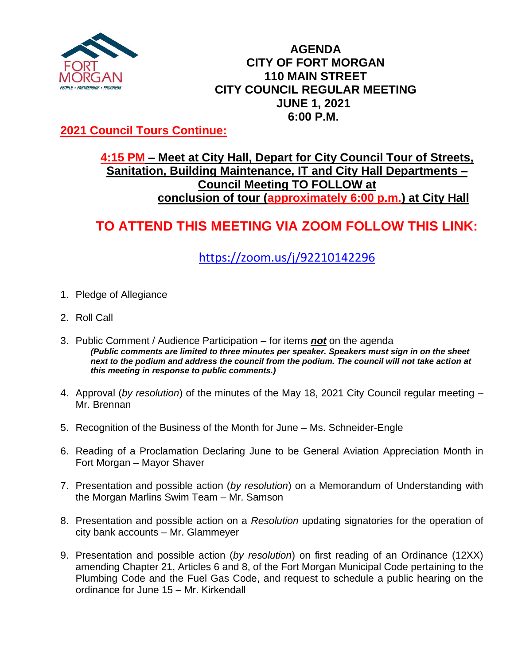

### **AGENDA CITY OF FORT MORGAN 110 MAIN STREET CITY COUNCIL REGULAR MEETING JUNE 1, 2021 6:00 P.M.**

### **2021 Council Tours Continue:**

### **4:15 PM – Meet at City Hall, Depart for City Council Tour of Streets, Sanitation, Building Maintenance, IT and City Hall Departments – Council Meeting TO FOLLOW at conclusion of tour (approximately 6:00 p.m.) at City Hall**

# **TO ATTEND THIS MEETING VIA ZOOM FOLLOW THIS LINK:**

## <https://zoom.us/j/92210142296>

- 1. Pledge of Allegiance
- 2. Roll Call
- 3. Public Comment / Audience Participation for items *not* on the agenda *(Public comments are limited to three minutes per speaker. Speakers must sign in on the sheet*  next to the podium and address the council from the podium. The council will not take action at *this meeting in response to public comments.)*
- 4. Approval (*by resolution*) of the minutes of the May 18, 2021 City Council regular meeting Mr. Brennan
- 5. Recognition of the Business of the Month for June Ms. Schneider-Engle
- 6. Reading of a Proclamation Declaring June to be General Aviation Appreciation Month in Fort Morgan – Mayor Shaver
- 7. Presentation and possible action (*by resolution*) on a Memorandum of Understanding with the Morgan Marlins Swim Team – Mr. Samson
- 8. Presentation and possible action on a *Resolution* updating signatories for the operation of city bank accounts – Mr. Glammeyer
- 9. Presentation and possible action (*by resolution*) on first reading of an Ordinance (12XX) amending Chapter 21, Articles 6 and 8, of the Fort Morgan Municipal Code pertaining to the Plumbing Code and the Fuel Gas Code, and request to schedule a public hearing on the ordinance for June 15 – Mr. Kirkendall